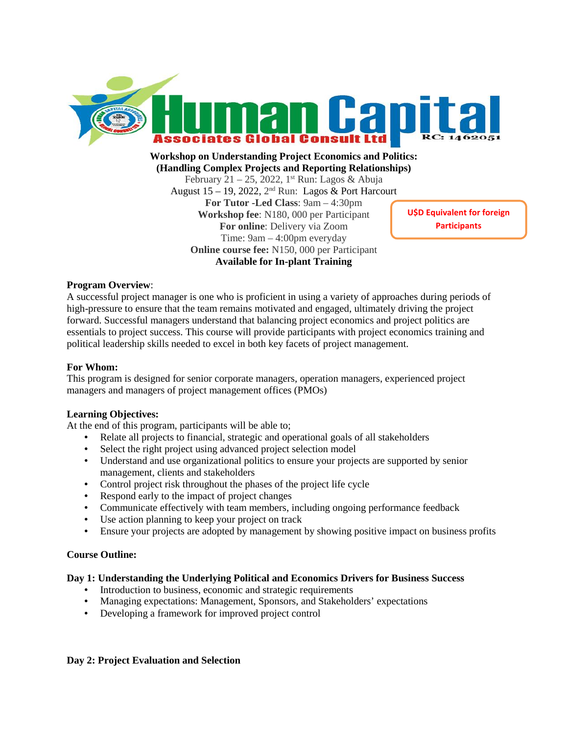

**Workshop on Understanding Project Economics and Politics: (Handling Complex Projects and Reporting Relationships)** February 21 – 25, 2022, 1<sup>st</sup> Run: Lagos & Abuja August 15 – 19, 2022,  $2<sup>nd</sup>$  Run: Lagos & Port Harcourt

**For Tutor -Led Class**: 9am – 4:30pm **Workshop fee**: N180, 000 per Participant **For online**: Delivery via Zoom Time: 9am – 4:00pm everyday **Online course fee:** N150, 000 per Participant **Available for In-plant Training**

**U\$D Equivalent for foreign Participants**

# **Program Overview**:

A successful project manager is one who is proficient in using a variety of approaches during periods of high-pressure to ensure that the team remains motivated and engaged, ultimately driving the project forward. Successful managers understand that balancing project economics and project politics are essentials to project success. This course will provide participants with project economics training and political leadership skills needed to excel in both key facets of project management.

## **For Whom:**

This program is designed for senior corporate managers, operation managers, experienced project managers and managers of project management offices (PMOs)

## **Learning Objectives:**

At the end of this program, participants will be able to;

- Relate all projects to financial, strategic and operational goals of all stakeholders
- Select the right project using advanced project selection model
- Understand and use organizational politics to ensure your projects are supported by senior management, clients and stakeholders
- Control project risk throughout the phases of the project life cycle
- Respond early to the impact of project changes
- Communicate effectively with team members, including ongoing performance feedback
- Use action planning to keep your project on track
- Ensure your projects are adopted by management by showing positive impact on business profits

## **Course Outline:**

## **Day 1: Understanding the Underlying Political and Economics Drivers for Business Success**

- Introduction to business, economic and strategic requirements
- Managing expectations: Management, Sponsors, and Stakeholders' expectations
- Developing a framework for improved project control

# **Day 2: Project Evaluation and Selection**